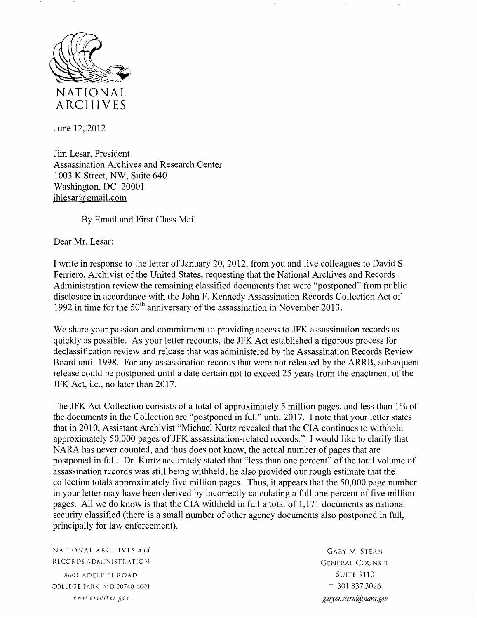

June 12,2012

Jim Lesar, President Assassination Archives and Research Center 1003 K Street, NW, Suite 640 Washington. DC 20001 jhlesar $@g$ mail.com

By Email and First Class Mail

Dear Mr. Lesar:

I write in response to the letter of January 20, 2012, from you and five colleagues to David S. Ferriero, Archivist of the United States, requesting that the National Archives and Records Administration review the remaining classified documents that were "postponed" from public disclosure in accordance with the John F. Kennedy Assassination Records Collection Act of 1992 in time for the  $50<sup>th</sup>$  anniversary of the assassination in November 2013.

We share your passion and commitment to providing access to JFK assassination records as quickly as possible. As your letter recounts, the JFK Act established a rigorous process for declassification review and release that was administered by the Assassination Records Review Board until 1998. For any assassination records that were not released by the ARRB, subsequent release could be postponed until a date certain not to exceed 25 years from the enactment of the JFK Act, i.e., no later than 2017.

The JFK Act Collection consists of a total of approximately 5 million pages, and less than 1% of the documents in the Collection are "postponed in full" until 2017. I note that your letter states that in 2010, Assistant Archivist "Michael Kurtz revealed that the CIA continues to withhold approximately 50,000 pages of JFK assassination-related records." I would like to clarify that NARA has never counted, and thus does not know, the actual number of pages that are postponed in full. Dr. Kurtz accurately stated that "less than one percent'" of the total volume of assassination records was still being withheld; he also provided our rough estimate that the collection totals approximately five million pages. Thus, it appears that the 50,000 page number in your letter may have been derived by incorrectly calculating a full one percent of five million pages. All we do know is that the CIA withheld in full a total of 1,171 documents as national security classified (there is a small number of other agency documents also postponed in full, principally for law enforcement).

NATIONAL ARCHIVES and **State State Services** SCARY M STERN RLCORDS ADMINISTRATION GENERAL COUNSEL

8601 ADELPHI ROAD SUITE 3110 COLLEGE PARK MD 20740-6001 T 301 837 3026 *www archives gov garjm.stern@nara.gov*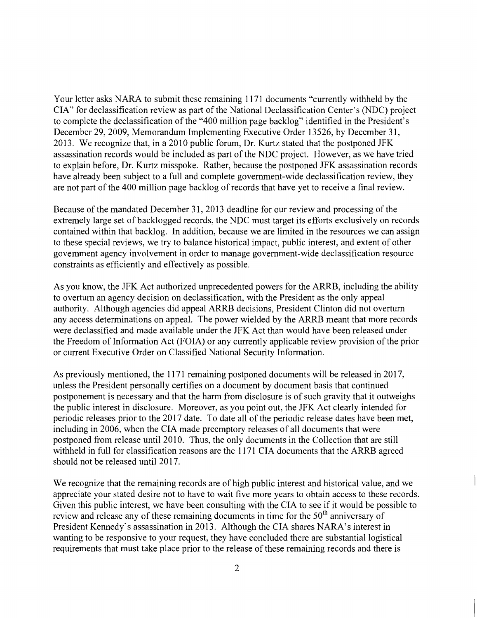Your letter asks NARA to submit these remaining 1171 documents "currently withheld by the CIA"' for declassification review as part of the National Declassification Center's (NDC) project to complete the declassification of the "400 million page backlog" identified in the President's December 29, 2009, Memorandum Implementing Executive Order 13526, by December 31, 2013. We recognize that, in a 2010 public forum. Dr. Kurtz stated that the postponed JFK assassination records would be included as part of the NDC project. However, as we have tried to explain before. Dr. Kurtz misspoke. Rather, because the postponed JFK assassination records have already been subject to a full and complete government-wide declassification review, they are not part of the 400 million page backlog of records that have yet to receive a final review.

Because of the mandated December 31, 2013 deadline for our review and processing of the extremely large set of backlogged records, the NDC must target its efforts exclusively on records contained within that backlog. In addition, because we are limited in the resources we can assign to these special reviews, we try to balance historical impact, public interest, and extent of other govemment agency involvement in order to manage government-wide declassification resource constraints as efficiently and effectively as possible.

As you know, the JFK Act authorized unprecedented powers for the ARRB, including the ability to overturn an agency decision on declassification, with the President as the only appeal authority. Although agencies did appeal ARRB decisions. President Clinton did not overturn any access determinations on appeal. The power wielded by the ARRB meant that more records were declassified and made available under the JFK Act than would have been released under the Freedom of Information Act (FOIA) or any currently applicable review provision of the prior or current Executive Order on Classified National Security Information.

As previously mentioned, the 1171 remaining postponed documents will be released in 2017, unless the President personally certifies on a document by document basis that continued postponement is necessary and that the harm from disclosure is of such gravity that it outweighs the public interest in disclosure. Moreover, as you point out, the JFK Act clearly intended for periodic releases prior to the 2017 date. To date all of the periodic release dates have been met, including in 2006, when the CIA made preemptory releases of all documents that were postponed from release until 2010. Thus, the only documents in the Collection that are still withheld in full for classification reasons are the 1171 CIA documents that the ARRB agreed should not be released until 2017.

We recognize that the remaining records are of high public interest and historical value, and we appreciate your stated desire not to have to wait five more years to obtain access to these records. Given this public interest, we have been consulting with the CIA to see if it would be possible to review and release any of these remaining documents in time for the 50<sup>th</sup> anniversary of President Kennedy's assassination in 2013. Although the CIA shares NARA's interest in wanting to be responsive to your request, they have concluded there are substantial logistical requirements that must take place prior to the release of these remaining records and there is